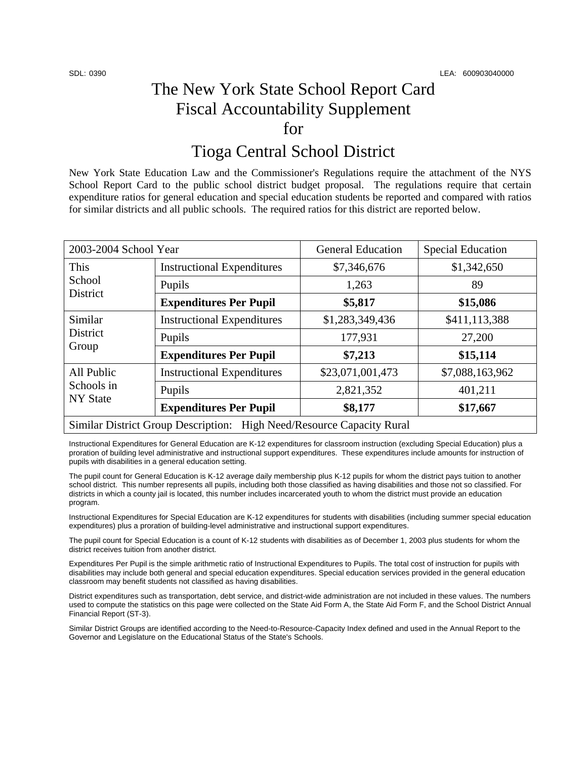# The New York State School Report Card Fiscal Accountability Supplement for

## Tioga Central School District

New York State Education Law and the Commissioner's Regulations require the attachment of the NYS School Report Card to the public school district budget proposal. The regulations require that certain expenditure ratios for general education and special education students be reported and compared with ratios for similar districts and all public schools. The required ratios for this district are reported below.

| 2003-2004 School Year                                                 |                                   | <b>General Education</b> | <b>Special Education</b> |  |  |
|-----------------------------------------------------------------------|-----------------------------------|--------------------------|--------------------------|--|--|
| This<br>School<br>District                                            | <b>Instructional Expenditures</b> | \$7,346,676              | \$1,342,650              |  |  |
|                                                                       | Pupils                            | 1,263                    | 89                       |  |  |
|                                                                       | <b>Expenditures Per Pupil</b>     | \$5,817                  | \$15,086                 |  |  |
| Similar<br>District<br>Group                                          | <b>Instructional Expenditures</b> | \$1,283,349,436          | \$411,113,388            |  |  |
|                                                                       | Pupils                            | 177,931                  | 27,200                   |  |  |
|                                                                       | <b>Expenditures Per Pupil</b>     | \$7,213                  | \$15,114                 |  |  |
| All Public<br>Schools in<br><b>NY State</b>                           | <b>Instructional Expenditures</b> | \$23,071,001,473         | \$7,088,163,962          |  |  |
|                                                                       | Pupils                            | 2,821,352                | 401,211                  |  |  |
|                                                                       | <b>Expenditures Per Pupil</b>     | \$8,177                  | \$17,667                 |  |  |
| Similar District Group Description: High Need/Resource Capacity Rural |                                   |                          |                          |  |  |

Instructional Expenditures for General Education are K-12 expenditures for classroom instruction (excluding Special Education) plus a proration of building level administrative and instructional support expenditures. These expenditures include amounts for instruction of pupils with disabilities in a general education setting.

The pupil count for General Education is K-12 average daily membership plus K-12 pupils for whom the district pays tuition to another school district. This number represents all pupils, including both those classified as having disabilities and those not so classified. For districts in which a county jail is located, this number includes incarcerated youth to whom the district must provide an education program.

Instructional Expenditures for Special Education are K-12 expenditures for students with disabilities (including summer special education expenditures) plus a proration of building-level administrative and instructional support expenditures.

The pupil count for Special Education is a count of K-12 students with disabilities as of December 1, 2003 plus students for whom the district receives tuition from another district.

Expenditures Per Pupil is the simple arithmetic ratio of Instructional Expenditures to Pupils. The total cost of instruction for pupils with disabilities may include both general and special education expenditures. Special education services provided in the general education classroom may benefit students not classified as having disabilities.

District expenditures such as transportation, debt service, and district-wide administration are not included in these values. The numbers used to compute the statistics on this page were collected on the State Aid Form A, the State Aid Form F, and the School District Annual Financial Report (ST-3).

Similar District Groups are identified according to the Need-to-Resource-Capacity Index defined and used in the Annual Report to the Governor and Legislature on the Educational Status of the State's Schools.